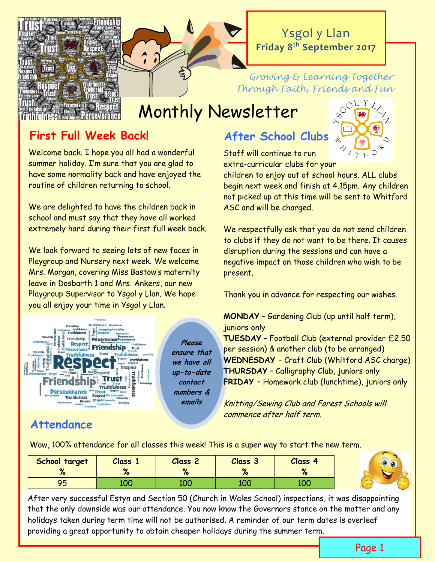

# Ysgol y Llan **Friday 8th September 2017**

### *Growing & Learning Together Through Faith, Friends and Fun*

# Monthly Newsletter

# **First Full Week Back! After School Clubs**

Welcome back. I hope you all had a wonderful summer holiday. I'm sure that you are glad to have some normality back and have enjoyed the routine of children returning to school.

We are delighted to have the children back in school and must say that they have all worked extremely hard during their first full week back.

We look forward to seeing lots of new faces in Playgroup and Nursery next week. We welcome Mrs. Morgan, covering Miss Bastow's maternity leave in Dosbarth 1 and Mrs. Ankers, our new Playgroup Supervisor to Ysgol y Llan. We hope you all enjoy your time in Ysgol y Llan.



# **Attendance**

**Please ensure that we have all up-to-date contact numbers & emails** 

Staff will continue to run extra-curricular clubs for your

children to enjoy out of school hours. ALL clubs begin next week and finish at 4.15pm. Any children not picked up at this time will be sent to Whitford ASC and will be charged.

We respectfully ask that you do not send children to clubs if they do not want to be there. It causes disruption during the sessions and can have a negative impact on those children who wish to be present.

Thank you in advance for respecting our wishes.

**MONDAY** – Gardening Club (up until half term), juniors only

**TUESDAY** – Football Club (external provider £2.50 per session) & another club (to be arranged) **WEDNESDAY** – Craft Club (Whitford ASC charge) **THURSDAY** – Calligraphy Club, juniors only **FRIDAY** – Homework club (lunchtime), juniors only

Knitting/Sewing Club and Forest Schools will commence after half term.

Wow, 100% attendance for all classes this week! This is a super way to start the new term.

| School target<br>70 | <b>Class</b><br>79 | <b>Class 2</b><br>79 | Class 3<br>$\mathbf{a}$<br>79 | Class<br>-4<br>70 |  |
|---------------------|--------------------|----------------------|-------------------------------|-------------------|--|
| OR<br>ノー            | 100                | 100                  | 100                           | 100               |  |

After very successful Estyn and Section 50 (Church in Wales School) inspections, it was disappointing that the only downside was our attendance. You now know the Governors stance on the matter and any holidays taken during term time will not be authorised. A reminder of our term dates is overleaf providing a great opportunity to obtain cheaper holidays during the summer term.